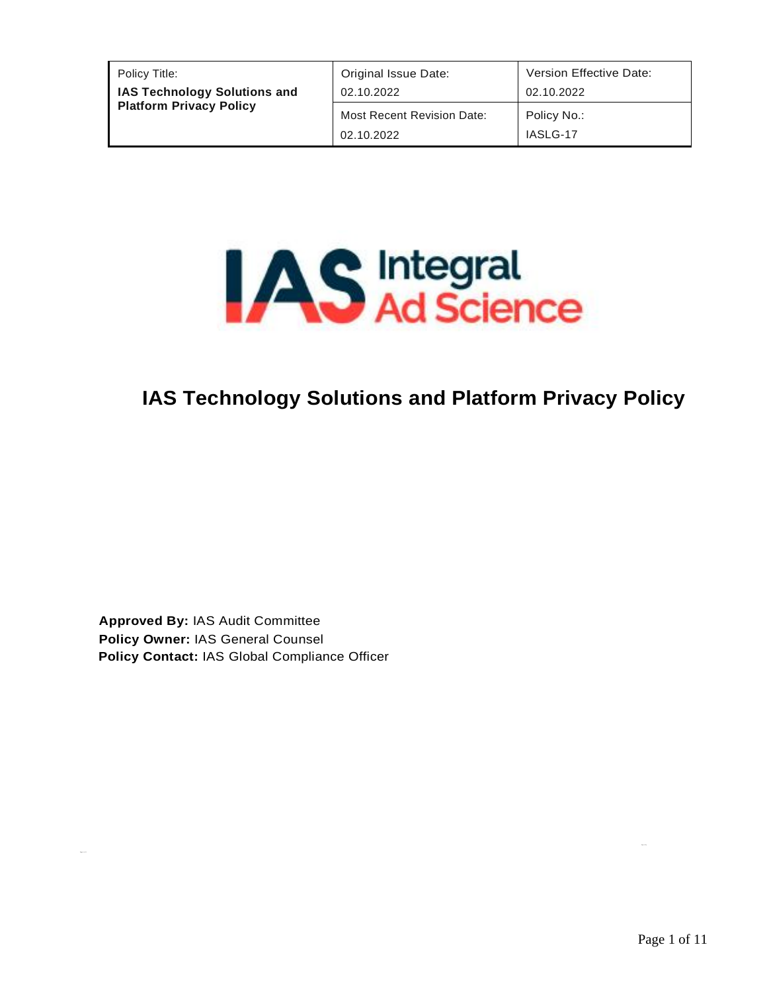| Policy Title:                       | Original Issue Date:                            | Version Effective Date: |
|-------------------------------------|-------------------------------------------------|-------------------------|
| <b>IAS Technology Solutions and</b> | 02.10.2022                                      | 02.10.2022              |
| <b>Platform Privacy Policy</b>      | <b>Most Recent Revision Date:</b><br>02.10.2022 | Policy No.:<br>IASLG-17 |



# **IAS Technology Solutions and Platform Privacy Policy**

**Approved By:** IAS Audit Committee **Policy Owner:** IAS General Counsel **Policy Contact:** IAS Global Compliance Officer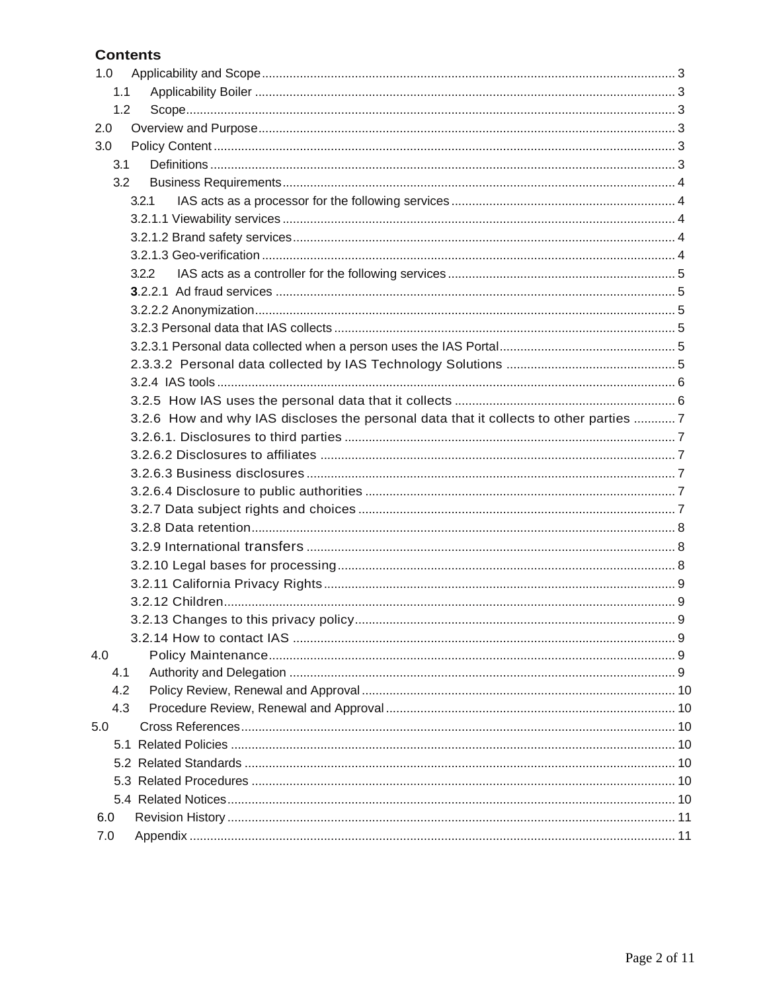## **Contents**

| 1.0 |                                                                                       |  |  |  |  |
|-----|---------------------------------------------------------------------------------------|--|--|--|--|
| 1.1 |                                                                                       |  |  |  |  |
| 1.2 |                                                                                       |  |  |  |  |
| 2.0 |                                                                                       |  |  |  |  |
| 3.0 |                                                                                       |  |  |  |  |
| 3.1 |                                                                                       |  |  |  |  |
| 3.2 |                                                                                       |  |  |  |  |
|     | 3.2.1                                                                                 |  |  |  |  |
|     |                                                                                       |  |  |  |  |
|     |                                                                                       |  |  |  |  |
|     |                                                                                       |  |  |  |  |
|     | 3.2.2                                                                                 |  |  |  |  |
|     |                                                                                       |  |  |  |  |
|     |                                                                                       |  |  |  |  |
|     |                                                                                       |  |  |  |  |
|     |                                                                                       |  |  |  |  |
|     |                                                                                       |  |  |  |  |
|     |                                                                                       |  |  |  |  |
|     |                                                                                       |  |  |  |  |
|     | 3.2.6 How and why IAS discloses the personal data that it collects to other parties 7 |  |  |  |  |
|     |                                                                                       |  |  |  |  |
|     |                                                                                       |  |  |  |  |
|     |                                                                                       |  |  |  |  |
|     |                                                                                       |  |  |  |  |
|     |                                                                                       |  |  |  |  |
|     |                                                                                       |  |  |  |  |
|     |                                                                                       |  |  |  |  |
|     |                                                                                       |  |  |  |  |
|     |                                                                                       |  |  |  |  |
|     |                                                                                       |  |  |  |  |
|     |                                                                                       |  |  |  |  |
|     |                                                                                       |  |  |  |  |
| 4.0 |                                                                                       |  |  |  |  |
| 4.1 |                                                                                       |  |  |  |  |
| 4.2 |                                                                                       |  |  |  |  |
| 4.3 |                                                                                       |  |  |  |  |
| 5.0 |                                                                                       |  |  |  |  |
|     |                                                                                       |  |  |  |  |
|     |                                                                                       |  |  |  |  |
|     |                                                                                       |  |  |  |  |
|     |                                                                                       |  |  |  |  |
| 6.0 |                                                                                       |  |  |  |  |
| 7.0 |                                                                                       |  |  |  |  |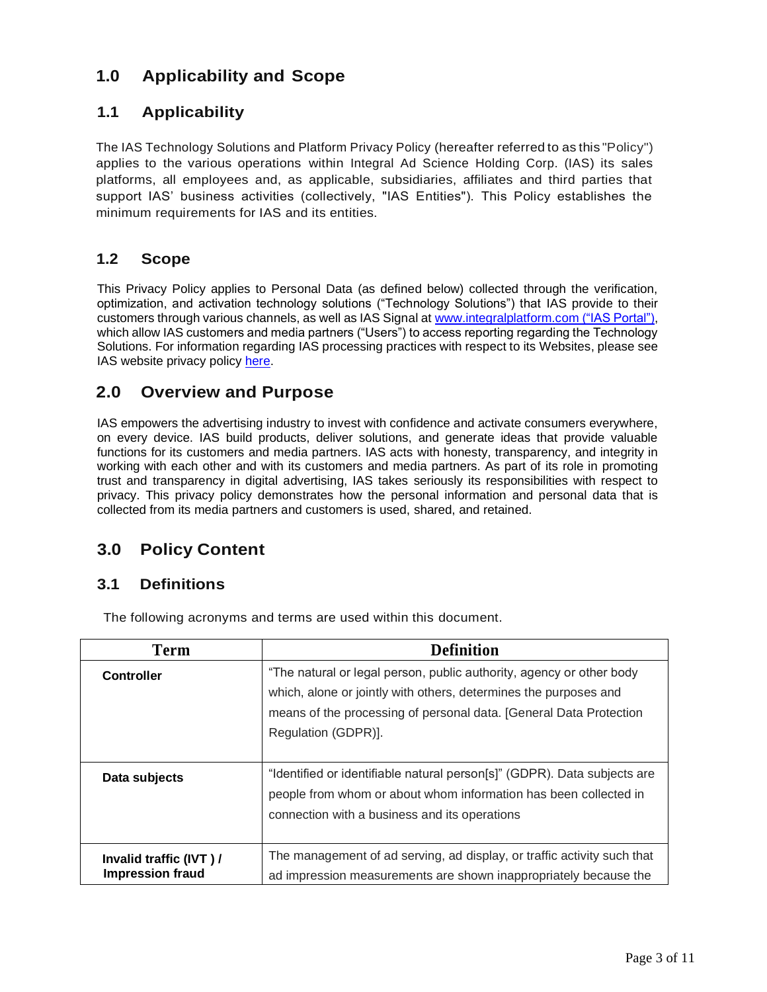## **1.0 Applicability and Scope**

## **1.1 Applicability**

The IAS Technology Solutions and Platform Privacy Policy (hereafter referredto as this "Policy") applies to the various operations within Integral Ad Science Holding Corp. (IAS) its sales platforms, all employees and, as applicable, subsidiaries, affiliates and third parties that support IAS' business activities (collectively, "IAS Entities"). This Policy establishes the minimum requirements for IAS and its entities.

## <span id="page-2-0"></span>**1.2 Scope**

This Privacy Policy applies to Personal Data (as defined below) collected through the verification, optimization, and activation technology solutions ("Technology Solutions") that IAS provide to their customers through various channels, as well as IAS Signal at [www.integralplatform.com](https://integralplatform.com/) ("IAS Portal"), which allow IAS customers and media partners ("Users") to access reporting regarding the Technology Solutions. For information regarding IAS processing practices with respect to its Websites, please see IAS website privacy policy [here.](https://integralads.com/ias-privacy-data-management/policies/privacy-policy/)

## <span id="page-2-1"></span>**2.0 Overview and Purpose**

IAS empowers the advertising industry to invest with confidence and activate consumers everywhere, on every device. IAS build products, deliver solutions, and generate ideas that provide valuable functions for its customers and media partners. IAS acts with honesty, transparency, and integrity in working with each other and with its customers and media partners. As part of its role in promoting trust and transparency in digital advertising, IAS takes seriously its responsibilities with respect to privacy. This privacy policy demonstrates how the personal information and personal data that is collected from its media partners and customers is used, shared, and retained.

## **3.0 Policy Content**

## **3.1 Definitions**

| <b>Term</b>                                       | <b>Definition</b>                                                                                                                                                                                                                     |
|---------------------------------------------------|---------------------------------------------------------------------------------------------------------------------------------------------------------------------------------------------------------------------------------------|
| <b>Controller</b>                                 | "The natural or legal person, public authority, agency or other body<br>which, alone or jointly with others, determines the purposes and<br>means of the processing of personal data. [General Data Protection<br>Regulation (GDPR)]. |
| Data subjects                                     | "Identified or identifiable natural person[s]" (GDPR). Data subjects are<br>people from whom or about whom information has been collected in<br>connection with a business and its operations                                         |
| Invalid traffic (IVT)/<br><b>Impression fraud</b> | The management of ad serving, ad display, or traffic activity such that<br>ad impression measurements are shown inappropriately because the                                                                                           |

The following acronyms and terms are used within this document.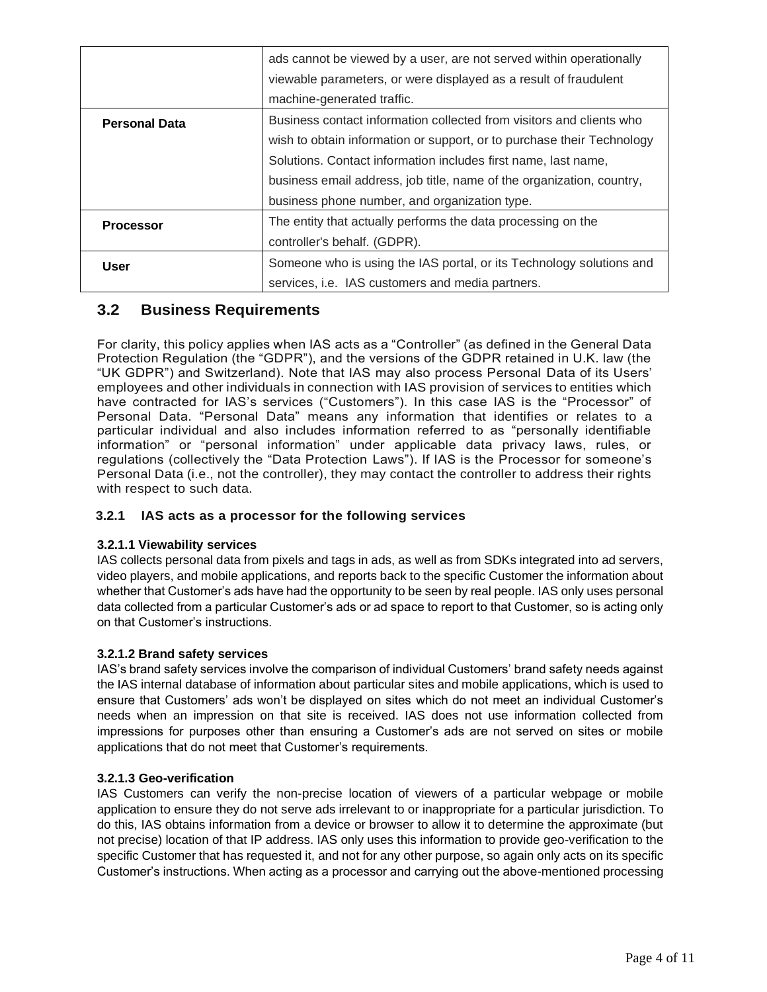|                      | ads cannot be viewed by a user, are not served within operationally<br>viewable parameters, or were displayed as a result of fraudulent |
|----------------------|-----------------------------------------------------------------------------------------------------------------------------------------|
|                      | machine-generated traffic.                                                                                                              |
| <b>Personal Data</b> | Business contact information collected from visitors and clients who                                                                    |
|                      | wish to obtain information or support, or to purchase their Technology                                                                  |
|                      | Solutions. Contact information includes first name, last name,                                                                          |
|                      | business email address, job title, name of the organization, country,                                                                   |
|                      | business phone number, and organization type.                                                                                           |
| <b>Processor</b>     | The entity that actually performs the data processing on the                                                                            |
|                      | controller's behalf. (GDPR).                                                                                                            |
| <b>User</b>          | Someone who is using the IAS portal, or its Technology solutions and                                                                    |
|                      | services, i.e. IAS customers and media partners.                                                                                        |

## **3.2 Business Requirements**

For clarity, this policy applies when IAS acts as a "Controller" (as defined in the General Data Protection Regulation (the "GDPR"), and the versions of the GDPR retained in U.K. law (the "UK GDPR") and Switzerland). Note that IAS may also process Personal Data of its Users' employees and other individuals in connection with IAS provision of services to entities which have contracted for IAS's services ("Customers"). In this case IAS is the "Processor" of Personal Data. "Personal Data" means any information that identifies or relates to a particular individual and also includes information referred to as "personally identifiable information" or "personal information" under applicable data privacy laws, rules, or regulations (collectively the "Data Protection Laws"). If IAS is the Processor for someone's Personal Data (i.e., not the controller), they may contact the controller to address their rights with respect to such data.

#### **3.2.1 IAS acts as a processor for the following services**

#### **3.2.1.1 Viewability services**

IAS collects personal data from pixels and tags in ads, as well as from SDKs integrated into ad servers, video players, and mobile applications, and reports back to the specific Customer the information about whether that Customer's ads have had the opportunity to be seen by real people. IAS only uses personal data collected from a particular Customer's ads or ad space to report to that Customer, so is acting only on that Customer's instructions.

#### **3.2.1.2 Brand safety services**

IAS's brand safety services involve the comparison of individual Customers' brand safety needs against the IAS internal database of information about particular sites and mobile applications, which is used to ensure that Customers' ads won't be displayed on sites which do not meet an individual Customer's needs when an impression on that site is received. IAS does not use information collected from impressions for purposes other than ensuring a Customer's ads are not served on sites or mobile applications that do not meet that Customer's requirements.

#### **3.2.1.3 Geo-verification**

IAS Customers can verify the non-precise location of viewers of a particular webpage or mobile application to ensure they do not serve ads irrelevant to or inappropriate for a particular jurisdiction. To do this, IAS obtains information from a device or browser to allow it to determine the approximate (but not precise) location of that IP address. IAS only uses this information to provide geo-verification to the specific Customer that has requested it, and not for any other purpose, so again only acts on its specific Customer's instructions. When acting as a processor and carrying out the above-mentioned processing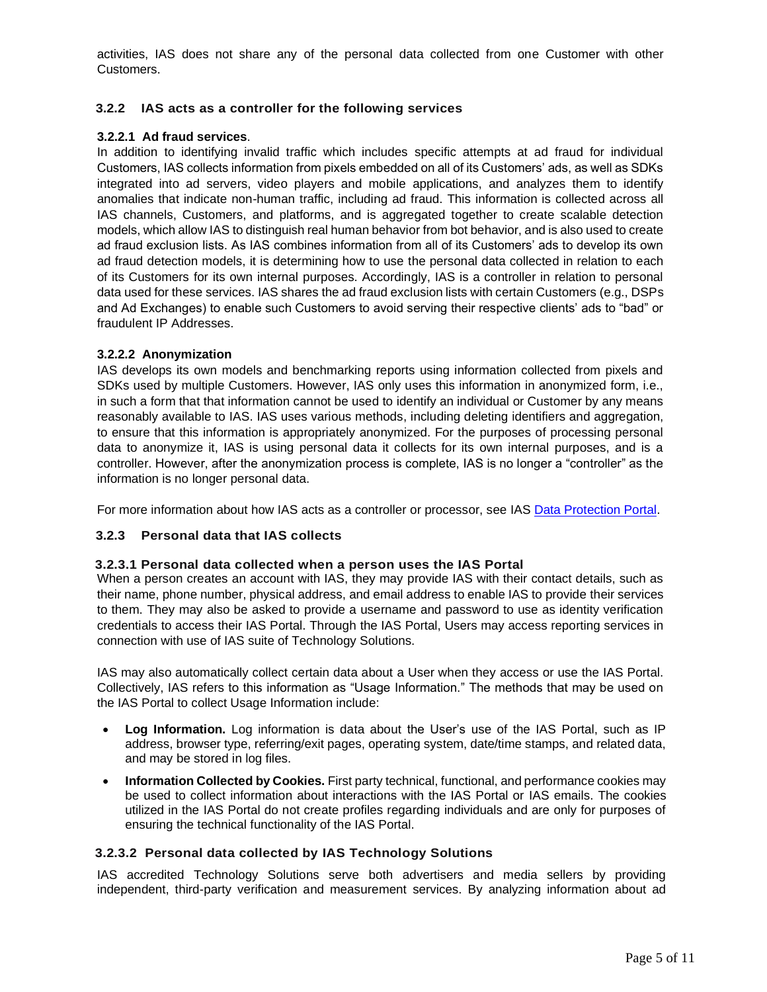activities, IAS does not share any of the personal data collected from one Customer with other Customers.

#### **3.2.2 IAS acts as a controller for the following services**

#### **3.2.2.1 Ad fraud services**.

In addition to identifying invalid traffic which includes specific attempts at ad fraud for individual Customers, IAS collects information from pixels embedded on all of its Customers' ads, as well as SDKs integrated into ad servers, video players and mobile applications, and analyzes them to identify anomalies that indicate non-human traffic, including ad fraud. This information is collected across all IAS channels, Customers, and platforms, and is aggregated together to create scalable detection models, which allow IAS to distinguish real human behavior from bot behavior, and is also used to create ad fraud exclusion lists. As IAS combines information from all of its Customers' ads to develop its own ad fraud detection models, it is determining how to use the personal data collected in relation to each of its Customers for its own internal purposes. Accordingly, IAS is a controller in relation to personal data used for these services. IAS shares the ad fraud exclusion lists with certain Customers (e.g., DSPs and Ad Exchanges) to enable such Customers to avoid serving their respective clients' ads to "bad" or fraudulent IP Addresses.

#### **3.2.2.2 Anonymization**

IAS develops its own models and benchmarking reports using information collected from pixels and SDKs used by multiple Customers. However, IAS only uses this information in anonymized form, i.e., in such a form that that information cannot be used to identify an individual or Customer by any means reasonably available to IAS. IAS uses various methods, including deleting identifiers and aggregation, to ensure that this information is appropriately anonymized. For the purposes of processing personal data to anonymize it, IAS is using personal data it collects for its own internal purposes, and is a controller. However, after the anonymization process is complete, IAS is no longer a "controller" as the information is no longer personal data.

For more information about how IAS acts as a controller or processor, see IAS [Data Protection Portal.](https://integralads.com/ias-privacy-data-management/)

#### **3.2.3 Personal data that IAS collects**

#### **3.2.3.1 Personal data collected when a person uses the IAS Portal**

When a person creates an account with IAS, they may provide IAS with their contact details, such as their name, phone number, physical address, and email address to enable IAS to provide their services to them. They may also be asked to provide a username and password to use as identity verification credentials to access their IAS Portal. Through the IAS Portal, Users may access reporting services in connection with use of IAS suite of Technology Solutions.

IAS may also automatically collect certain data about a User when they access or use the IAS Portal. Collectively, IAS refers to this information as "Usage Information." The methods that may be used on the IAS Portal to collect Usage Information include:

- **Log Information.** Log information is data about the User's use of the IAS Portal, such as IP address, browser type, referring/exit pages, operating system, date/time stamps, and related data, and may be stored in log files.
- **Information Collected by Cookies.** First party technical, functional, and performance cookies may be used to collect information about interactions with the IAS Portal or IAS emails. The cookies utilized in the IAS Portal do not create profiles regarding individuals and are only for purposes of ensuring the technical functionality of the IAS Portal.

#### **3.2.3.2 Personal data collected by IAS Technology Solutions**

IAS accredited Technology Solutions serve both advertisers and media sellers by providing independent, third-party verification and measurement services. By analyzing information about ad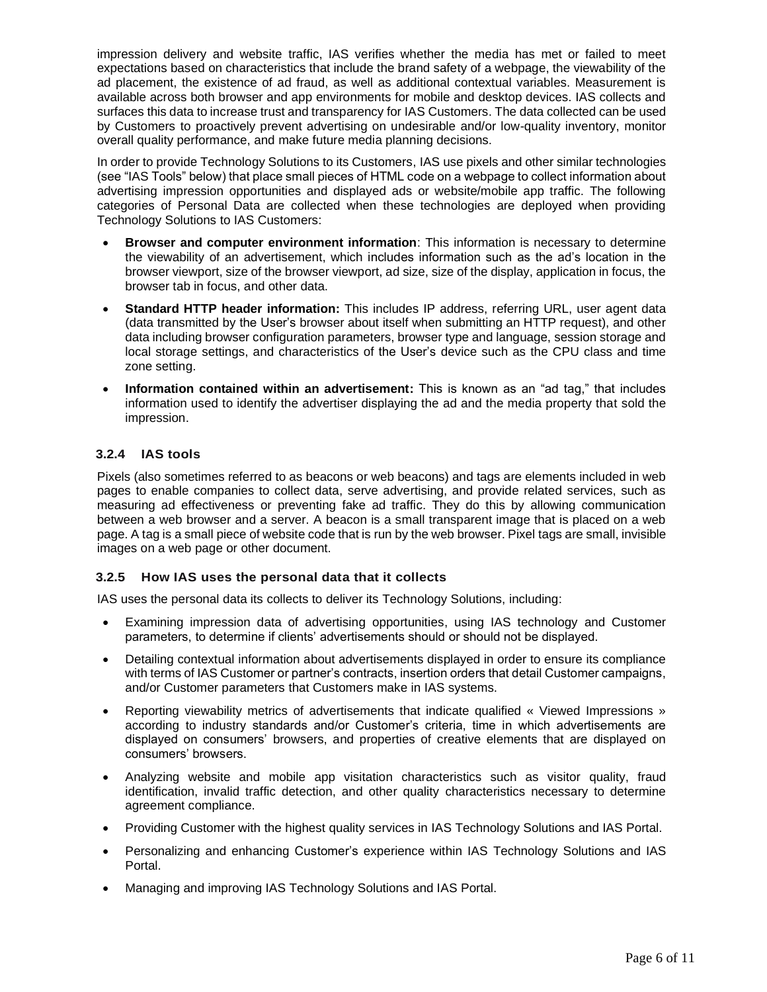impression delivery and website traffic, IAS verifies whether the media has met or failed to meet expectations based on characteristics that include the brand safety of a webpage, the viewability of the ad placement, the existence of ad fraud, as well as additional contextual variables. Measurement is available across both browser and app environments for mobile and desktop devices. IAS collects and surfaces this data to increase trust and transparency for IAS Customers. The data collected can be used by Customers to proactively prevent advertising on undesirable and/or low-quality inventory, monitor overall quality performance, and make future media planning decisions.

In order to provide Technology Solutions to its Customers, IAS use pixels and other similar technologies (see "IAS Tools" below) that place small pieces of HTML code on a webpage to collect information about advertising impression opportunities and displayed ads or website/mobile app traffic. The following categories of Personal Data are collected when these technologies are deployed when providing Technology Solutions to IAS Customers:

- **Browser and computer environment information**: This information is necessary to determine the viewability of an advertisement, which includes information such as the ad's location in the browser viewport, size of the browser viewport, ad size, size of the display, application in focus, the browser tab in focus, and other data.
- **Standard HTTP header information:** This includes IP address, referring URL, user agent data (data transmitted by the User's browser about itself when submitting an HTTP request), and other data including browser configuration parameters, browser type and language, session storage and local storage settings, and characteristics of the User's device such as the CPU class and time zone setting.
- **Information contained within an advertisement:** This is known as an "ad tag," that includes information used to identify the advertiser displaying the ad and the media property that sold the impression.

#### **3.2.4 IAS tools**

Pixels (also sometimes referred to as beacons or web beacons) and tags are elements included in web pages to enable companies to collect data, serve advertising, and provide related services, such as measuring ad effectiveness or preventing fake ad traffic. They do this by allowing communication between a web browser and a server. A beacon is a small transparent image that is placed on a web page. A tag is a small piece of website code that is run by the web browser. Pixel tags are small, invisible images on a web page or other document.

#### **3.2.5 How IAS uses the personal data that it collects**

IAS uses the personal data its collects to deliver its Technology Solutions, including:

- Examining impression data of advertising opportunities, using IAS technology and Customer parameters, to determine if clients' advertisements should or should not be displayed.
- Detailing contextual information about advertisements displayed in order to ensure its compliance with terms of IAS Customer or partner's contracts, insertion orders that detail Customer campaigns, and/or Customer parameters that Customers make in IAS systems.
- Reporting viewability metrics of advertisements that indicate qualified « Viewed Impressions » according to industry standards and/or Customer's criteria, time in which advertisements are displayed on consumers' browsers, and properties of creative elements that are displayed on consumers' browsers.
- Analyzing website and mobile app visitation characteristics such as visitor quality, fraud identification, invalid traffic detection, and other quality characteristics necessary to determine agreement compliance.
- Providing Customer with the highest quality services in IAS Technology Solutions and IAS Portal.
- Personalizing and enhancing Customer's experience within IAS Technology Solutions and IAS Portal.
- Managing and improving IAS Technology Solutions and IAS Portal.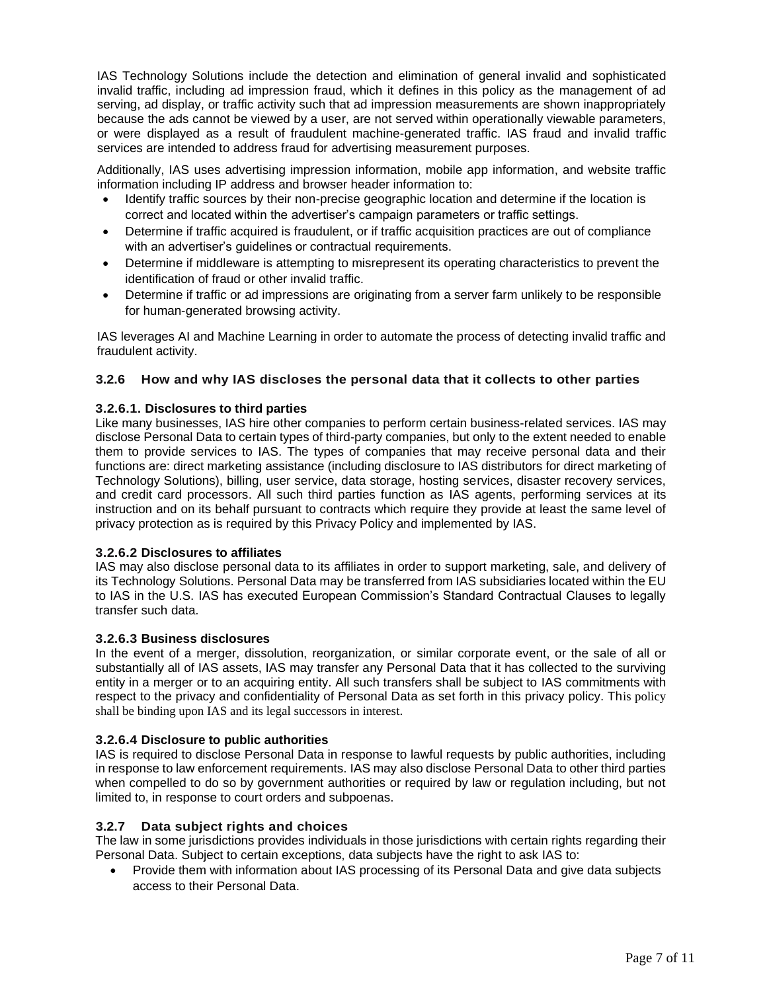IAS Technology Solutions include the detection and elimination of general invalid and sophisticated invalid traffic, including ad impression fraud, which it defines in this policy as the management of ad serving, ad display, or traffic activity such that ad impression measurements are shown inappropriately because the ads cannot be viewed by a user, are not served within operationally viewable parameters, or were displayed as a result of fraudulent machine-generated traffic. IAS fraud and invalid traffic services are intended to address fraud for advertising measurement purposes.

Additionally, IAS uses advertising impression information, mobile app information, and website traffic information including IP address and browser header information to:

- Identify traffic sources by their non-precise geographic location and determine if the location is correct and located within the advertiser's campaign parameters or traffic settings.
- Determine if traffic acquired is fraudulent, or if traffic acquisition practices are out of compliance with an advertiser's guidelines or contractual requirements.
- Determine if middleware is attempting to misrepresent its operating characteristics to prevent the identification of fraud or other invalid traffic.
- Determine if traffic or ad impressions are originating from a server farm unlikely to be responsible for human-generated browsing activity.

IAS leverages AI and Machine Learning in order to automate the process of detecting invalid traffic and fraudulent activity.

#### **3.2.6 How and why IAS discloses the personal data that it collects to other parties**

#### **3.2.6.1. Disclosures to third parties**

Like many businesses, IAS hire other companies to perform certain business-related services. IAS may disclose Personal Data to certain types of third-party companies, but only to the extent needed to enable them to provide services to IAS. The types of companies that may receive personal data and their functions are: direct marketing assistance (including disclosure to IAS distributors for direct marketing of Technology Solutions), billing, user service, data storage, hosting services, disaster recovery services, and credit card processors. All such third parties function as IAS agents, performing services at its instruction and on its behalf pursuant to contracts which require they provide at least the same level of privacy protection as is required by this Privacy Policy and implemented by IAS.

#### **3.2.6.2 Disclosures to affiliates**

IAS may also disclose personal data to its affiliates in order to support marketing, sale, and delivery of its Technology Solutions. Personal Data may be transferred from IAS subsidiaries located within the EU to IAS in the U.S. IAS has executed European Commission's Standard Contractual Clauses to legally transfer such data.

#### **3.2.6.3 Business disclosures**

In the event of a merger, dissolution, reorganization, or similar corporate event, or the sale of all or substantially all of IAS assets, IAS may transfer any Personal Data that it has collected to the surviving entity in a merger or to an acquiring entity. All such transfers shall be subject to IAS commitments with respect to the privacy and confidentiality of Personal Data as set forth in this privacy policy. This policy shall be binding upon IAS and its legal successors in interest.

#### **3.2.6.4 Disclosure to public authorities**

IAS is required to disclose Personal Data in response to lawful requests by public authorities, including in response to law enforcement requirements. IAS may also disclose Personal Data to other third parties when compelled to do so by government authorities or required by law or regulation including, but not limited to, in response to court orders and subpoenas.

#### **3.2.7 Data subject rights and choices**

The law in some jurisdictions provides individuals in those jurisdictions with certain rights regarding their Personal Data. Subject to certain exceptions, data subjects have the right to ask IAS to:

• Provide them with information about IAS processing of its Personal Data and give data subjects access to their Personal Data.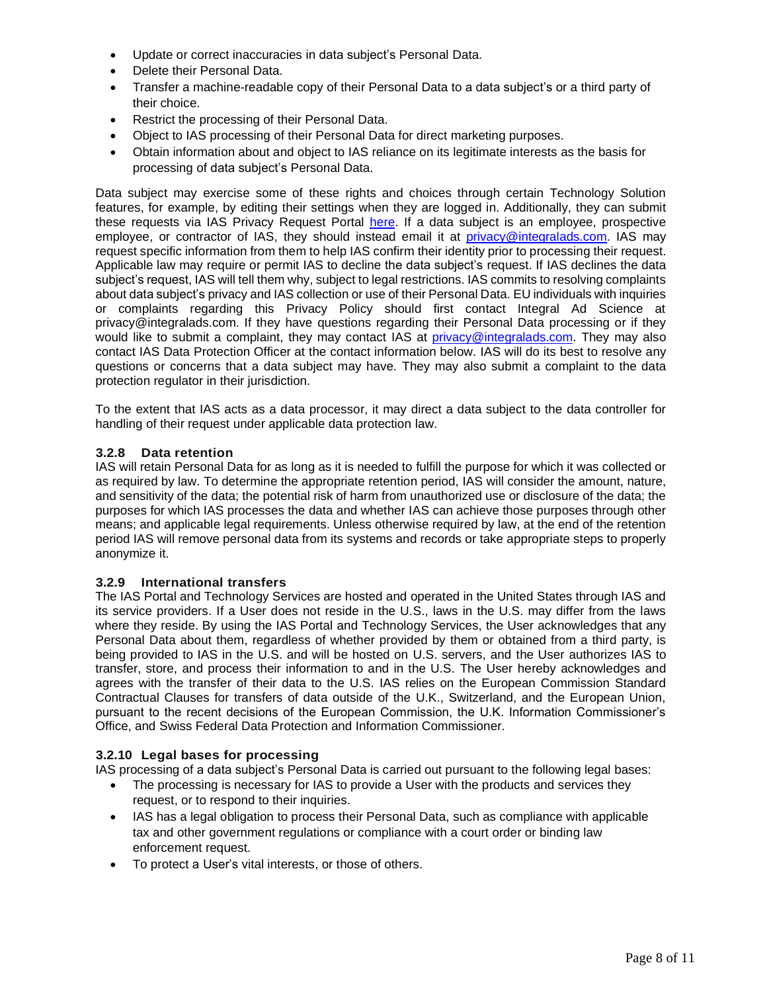- Update or correct inaccuracies in data subject's Personal Data.
- Delete their Personal Data.
- Transfer a machine-readable copy of their Personal Data to a data subject's or a third party of their choice.
- Restrict the processing of their Personal Data.
- Object to IAS processing of their Personal Data for direct marketing purposes.
- Obtain information about and object to IAS reliance on its legitimate interests as the basis for processing of data subject's Personal Data.

Data subject may exercise some of these rights and choices through certain Technology Solution features, for example, by editing their settings when they are logged in. Additionally, they can submit these requests via IAS Privacy Request Portal [here.](https://privacyportal.onetrust.com/webform/4bb950c1-a072-4513-8391-e78121a81518/e94ad20a-5ac6-4a14-91e4-6780487d9e18) If a data subject is an employee, prospective employee, or contractor of IAS, they should instead email it at [privacy@integralads.com.](mailto:privacy@integralads.com) IAS may request specific information from them to help IAS confirm their identity prior to processing their request. Applicable law may require or permit IAS to decline the data subject's request. If IAS declines the data subject's request, IAS will tell them why, subject to legal restrictions. IAS commits to resolving complaints about data subject's privacy and IAS collection or use of their Personal Data. EU individuals with inquiries or complaints regarding this Privacy Policy should first contact Integral Ad Science at privacy@integralads.com. If they have questions regarding their Personal Data processing or if they would like to submit a complaint, they may contact IAS at [privacy@integralads.com.](mailto:privacy@integralads.com) They may also contact IAS Data Protection Officer at the contact information below. IAS will do its best to resolve any questions or concerns that a data subject may have. They may also submit a complaint to the data protection regulator in their jurisdiction.

To the extent that IAS acts as a data processor, it may direct a data subject to the data controller for handling of their request under applicable data protection law.

#### **3.2.8 Data retention**

IAS will retain Personal Data for as long as it is needed to fulfill the purpose for which it was collected or as required by law. To determine the appropriate retention period, IAS will consider the amount, nature, and sensitivity of the data; the potential risk of harm from unauthorized use or disclosure of the data; the purposes for which IAS processes the data and whether IAS can achieve those purposes through other means; and applicable legal requirements. Unless otherwise required by law, at the end of the retention period IAS will remove personal data from its systems and records or take appropriate steps to properly anonymize it.

#### **3.2.9 International transfers**

The IAS Portal and Technology Services are hosted and operated in the United States through IAS and its service providers. If a User does not reside in the U.S., laws in the U.S. may differ from the laws where they reside. By using the IAS Portal and Technology Services, the User acknowledges that any Personal Data about them, regardless of whether provided by them or obtained from a third party, is being provided to IAS in the U.S. and will be hosted on U.S. servers, and the User authorizes IAS to transfer, store, and process their information to and in the U.S. The User hereby acknowledges and agrees with the transfer of their data to the U.S. IAS relies on the European Commission Standard Contractual Clauses for transfers of data outside of the U.K., Switzerland, and the European Union, pursuant to the recent decisions of the European Commission, the U.K. Information Commissioner's Office, and Swiss Federal Data Protection and Information Commissioner.

#### **3.2.10 Legal bases for processing**

IAS processing of a data subject's Personal Data is carried out pursuant to the following legal bases:

- The processing is necessary for IAS to provide a User with the products and services they request, or to respond to their inquiries.
- IAS has a legal obligation to process their Personal Data, such as compliance with applicable tax and other government regulations or compliance with a court order or binding law enforcement request.
- To protect a User's vital interests, or those of others.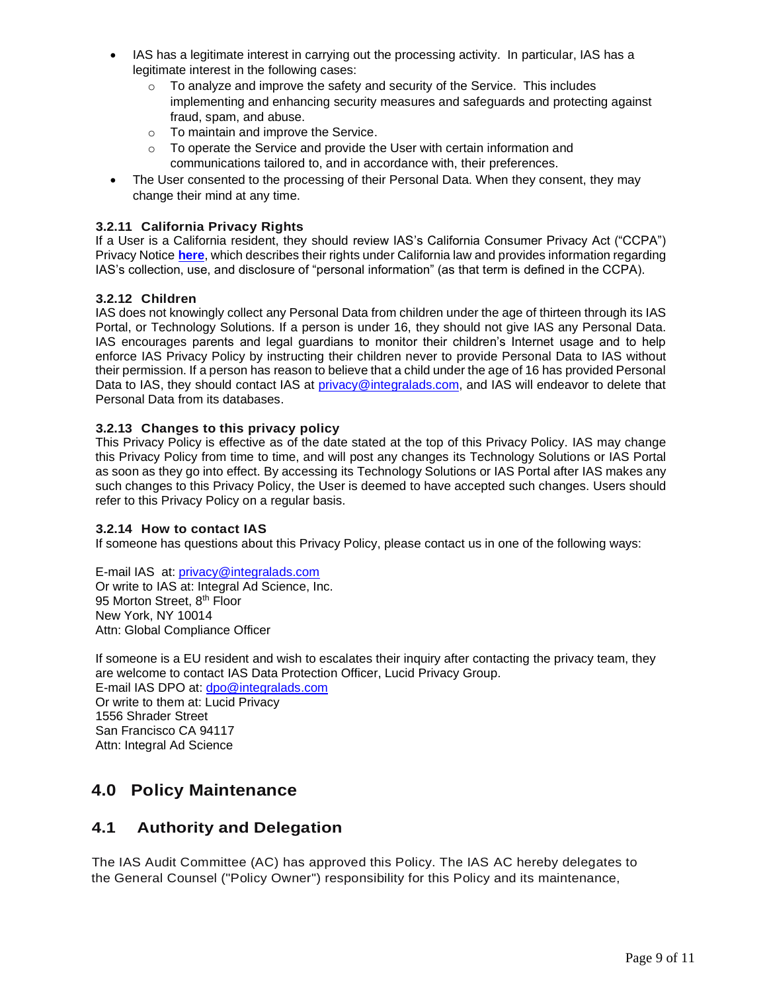- IAS has a legitimate interest in carrying out the processing activity. In particular, IAS has a legitimate interest in the following cases:
	- $\circ$  To analyze and improve the safety and security of the Service. This includes implementing and enhancing security measures and safeguards and protecting against fraud, spam, and abuse.
	- o To maintain and improve the Service.
	- $\circ$  To operate the Service and provide the User with certain information and communications tailored to, and in accordance with, their preferences.
- The User consented to the processing of their Personal Data. When they consent, they may change their mind at any time.

#### **3.2.11 California Privacy Rights**

If a User is a California resident, they should review IAS's California Consumer Privacy Act ("CCPA") Privacy Notice **[here](https://go.integralads.com/rs/469-VBI-606/images/IAS_CCPA_Privacy_Notice.pdf)**, which describes their rights under California law and provides information regarding IAS's collection, use, and disclosure of "personal information" (as that term is defined in the CCPA).

#### **3.2.12 Children**

IAS does not knowingly collect any Personal Data from children under the age of thirteen through its IAS Portal, or Technology Solutions. If a person is under 16, they should not give IAS any Personal Data. IAS encourages parents and legal guardians to monitor their children's Internet usage and to help enforce IAS Privacy Policy by instructing their children never to provide Personal Data to IAS without their permission. If a person has reason to believe that a child under the age of 16 has provided Personal Data to IAS, they should contact IAS at [privacy@integralads.com,](file:///C:/Users/sleitch/ND%20Office%20Echo/VAULT-3S5IKXGL/privacy@integralads.com) and IAS will endeavor to delete that Personal Data from its databases.

#### **3.2.13 Changes to this privacy policy**

This Privacy Policy is effective as of the date stated at the top of this Privacy Policy. IAS may change this Privacy Policy from time to time, and will post any changes its Technology Solutions or IAS Portal as soon as they go into effect. By accessing its Technology Solutions or IAS Portal after IAS makes any such changes to this Privacy Policy, the User is deemed to have accepted such changes. Users should refer to this Privacy Policy on a regular basis.

#### **3.2.14 How to contact IAS**

If someone has questions about this Privacy Policy, please contact us in one of the following ways:

E-mail IAS at: [privacy@integralads.com](file:///C:/Users/sleitch/ND%20Office%20Echo/VAULT-3S5IKXGL/privacy@integralads.com) Or write to IAS at: Integral Ad Science, Inc. 95 Morton Street, 8<sup>th</sup> Floor New York, NY 10014 Attn: Global Compliance Officer

If someone is a EU resident and wish to escalates their inquiry after contacting the privacy team, they are welcome to contact IAS Data Protection Officer, Lucid Privacy Group.

E-mail IAS DPO at: [dpo@integralads.com](file:///C:/Users/sleitch/ND%20Office%20Echo/VAULT-3S5IKXGL/dpo@integralads.com) Or write to them at: Lucid Privacy 1556 Shrader Street San Francisco CA 94117 Attn: Integral Ad Science

## **4.0 Policy Maintenance**

### **4.1 Authority and Delegation**

The IAS Audit Committee (AC) has approved this Policy. The IAS AC hereby delegates to the General Counsel ("Policy Owner") responsibility for this Policy and its maintenance,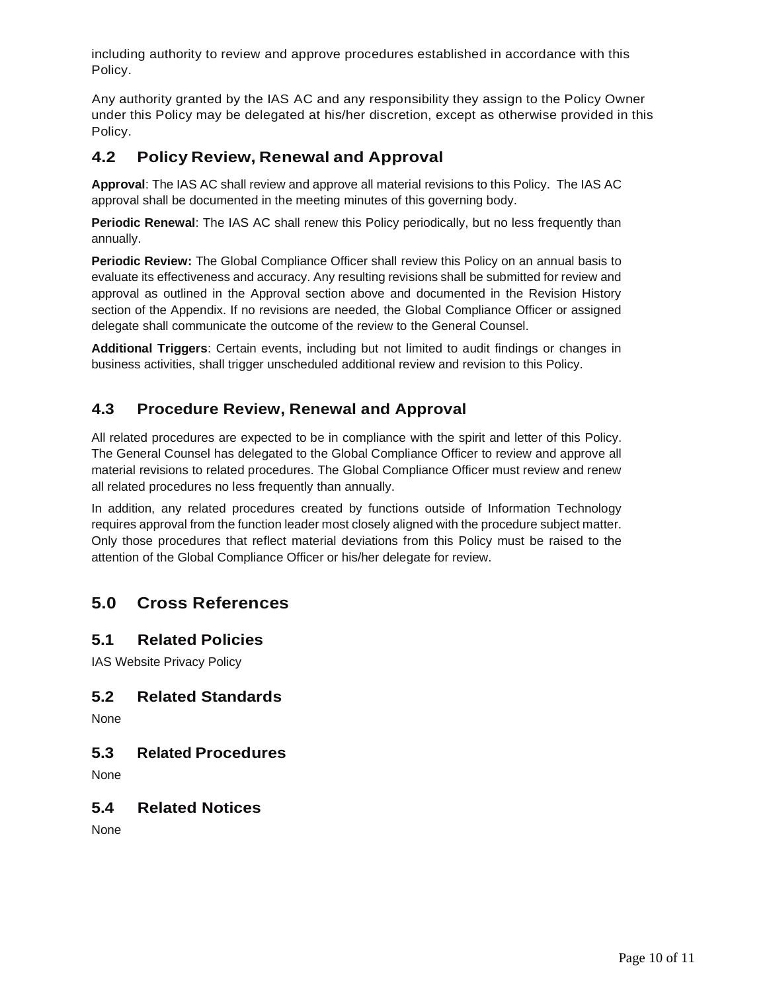including authority to review and approve procedures established in accordance with this Policy.

Any authority granted by the IAS AC and any responsibility they assign to the Policy Owner under this Policy may be delegated at his/her discretion, except as otherwise provided in this Policy.

## **4.2 Policy Review, Renewal and Approval**

**Approval**: The IAS AC shall review and approve all material revisions to this Policy. The IAS AC approval shall be documented in the meeting minutes of this governing body.

**Periodic Renewal**: The IAS AC shall renew this Policy periodically, but no less frequently than annually.

**Periodic Review:** The Global Compliance Officer shall review this Policy on an annual basis to evaluate its effectiveness and accuracy. Any resulting revisions shall be submitted for review and approval as outlined in the Approval section above and documented in the Revision History section of the Appendix. If no revisions are needed, the Global Compliance Officer or assigned delegate shall communicate the outcome of the review to the General Counsel.

**Additional Triggers**: Certain events, including but not limited to audit findings or changes in business activities, shall trigger unscheduled additional review and revision to this Policy.

## **4.3 Procedure Review, Renewal and Approval**

All related procedures are expected to be in compliance with the spirit and letter of this Policy. The General Counsel has delegated to the Global Compliance Officer to review and approve all material revisions to related procedures. The Global Compliance Officer must review and renew all related procedures no less frequently than annually.

In addition, any related procedures created by functions outside of Information Technology requires approval from the function leader most closely aligned with the procedure subject matter. Only those procedures that reflect material deviations from this Policy must be raised to the attention of the Global Compliance Officer or his/her delegate for review.

## **5.0 Cross References**

### <span id="page-9-0"></span>**5.1 Related Policies**

IAS Website Privacy Policy

## **5.2 Related Standards**

None

## <span id="page-9-1"></span>**5.3 Related Procedures**

None

### **5.4 Related Notices**

<span id="page-9-2"></span>None